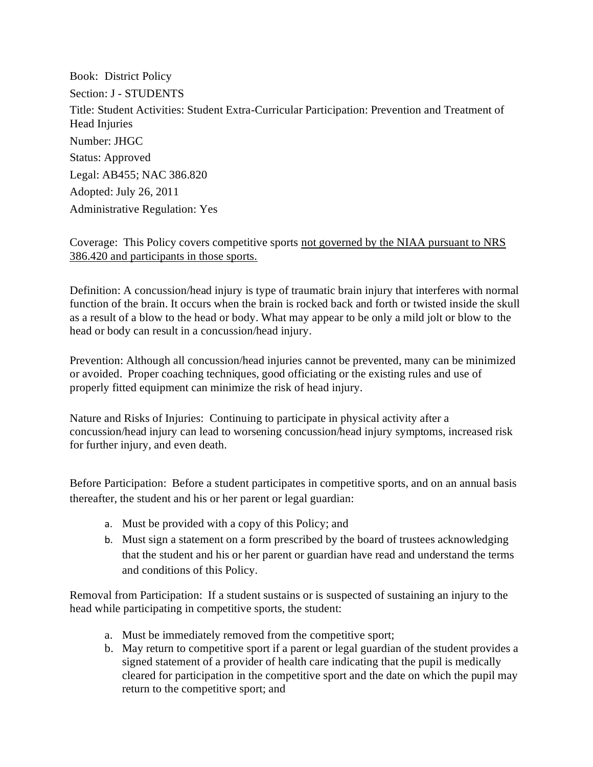Book: District Policy Section: J - STUDENTS Title: Student Activities: Student Extra-Curricular Participation: Prevention and Treatment of Head Injuries Number: JHGC Status: Approved Legal: AB455; NAC 386.820 Adopted: July 26, 2011 Administrative Regulation: Yes

## Coverage: This Policy covers competitive sports not governed by the NIAA pursuant to NRS 386.420 and participants in those sports.

Definition: A concussion/head injury is type of traumatic brain injury that interferes with normal function of the brain. It occurs when the brain is rocked back and forth or twisted inside the skull as a result of a blow to the head or body. What may appear to be only a mild jolt or blow to the head or body can result in a concussion/head injury.

Prevention: Although all concussion/head injuries cannot be prevented, many can be minimized or avoided. Proper coaching techniques, good officiating or the existing rules and use of properly fitted equipment can minimize the risk of head injury.

Nature and Risks of Injuries: Continuing to participate in physical activity after a concussion/head injury can lead to worsening concussion/head injury symptoms, increased risk for further injury, and even death.

Before Participation: Before a student participates in competitive sports, and on an annual basis thereafter, the student and his or her parent or legal guardian:

- a. Must be provided with a copy of this Policy; and
- b. Must sign a statement on a form prescribed by the board of trustees acknowledging that the student and his or her parent or guardian have read and understand the terms and conditions of this Policy.

Removal from Participation: If a student sustains or is suspected of sustaining an injury to the head while participating in competitive sports, the student:

- a. Must be immediately removed from the competitive sport;
- b. May return to competitive sport if a parent or legal guardian of the student provides a signed statement of a provider of health care indicating that the pupil is medically cleared for participation in the competitive sport and the date on which the pupil may return to the competitive sport; and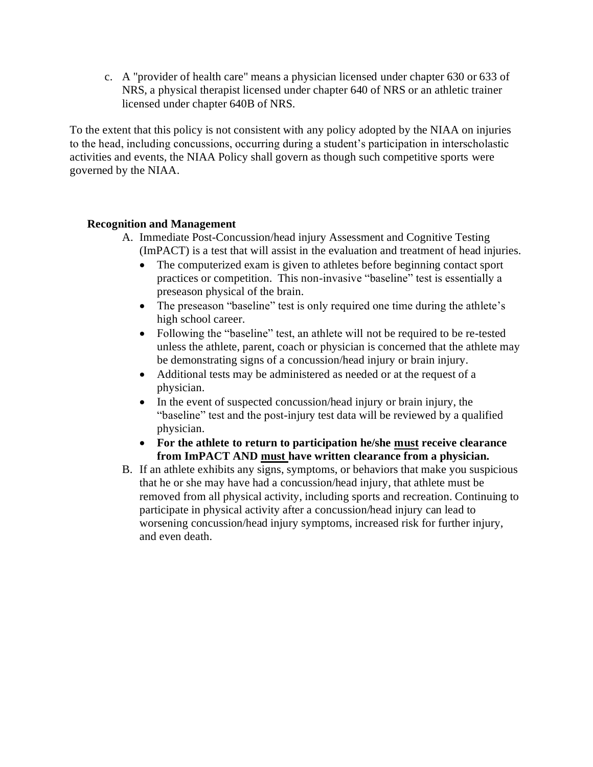c. A "provider of health care" means a physician licensed under chapter 630 or 633 of NRS, a physical therapist licensed under chapter 640 of NRS or an athletic trainer licensed under chapter 640B of NRS.

To the extent that this policy is not consistent with any policy adopted by the NIAA on injuries to the head, including concussions, occurring during a student's participation in interscholastic activities and events, the NIAA Policy shall govern as though such competitive sports were governed by the NIAA.

## **Recognition and Management**

- A. Immediate Post-Concussion/head injury Assessment and Cognitive Testing (ImPACT) is a test that will assist in the evaluation and treatment of head injuries.
	- The computerized exam is given to athletes before beginning contact sport practices or competition. This non-invasive "baseline" test is essentially a preseason physical of the brain.
	- The preseason "baseline" test is only required one time during the athlete's high school career.
	- Following the "baseline" test, an athlete will not be required to be re-tested unless the athlete, parent, coach or physician is concerned that the athlete may be demonstrating signs of a concussion/head injury or brain injury.
	- Additional tests may be administered as needed or at the request of a physician.
	- In the event of suspected concussion/head injury or brain injury, the "baseline" test and the post-injury test data will be reviewed by a qualified physician.
	- **For the athlete to return to participation he/she must receive clearance from ImPACT AND must have written clearance from a physician.**
- B. If an athlete exhibits any signs, symptoms, or behaviors that make you suspicious that he or she may have had a concussion/head injury, that athlete must be removed from all physical activity, including sports and recreation. Continuing to participate in physical activity after a concussion/head injury can lead to worsening concussion/head injury symptoms, increased risk for further injury, and even death.